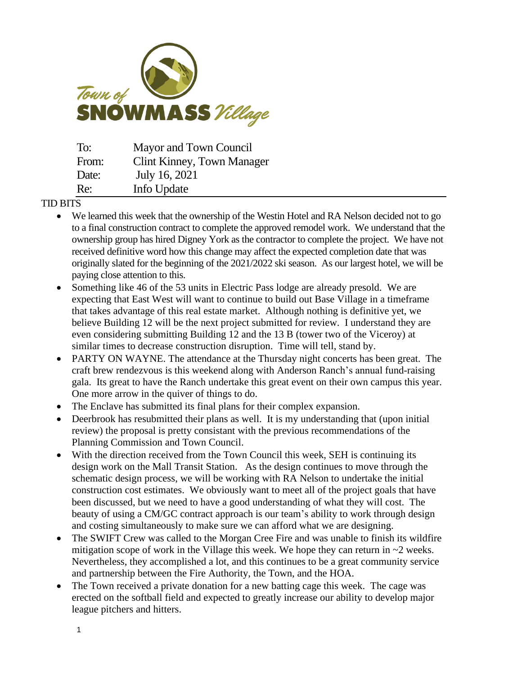

| To:   | Mayor and Town Council            |
|-------|-----------------------------------|
| From: | <b>Clint Kinney, Town Manager</b> |
| Date: | July 16, 2021                     |
| Re:   | Info Update                       |

## TID BITS

- We learned this week that the ownership of the Westin Hotel and RA Nelson decided not to go to a final construction contract to complete the approved remodel work. We understand that the ownership group has hired Digney York as the contractor to complete the project. We have not received definitive word how this change may affect the expected completion date that was originally slated for the beginning of the 2021/2022 ski season. As our largest hotel, we will be paying close attention to this.
- Something like 46 of the 53 units in Electric Pass lodge are already presold. We are expecting that East West will want to continue to build out Base Village in a timeframe that takes advantage of this real estate market. Although nothing is definitive yet, we believe Building 12 will be the next project submitted for review. I understand they are even considering submitting Building 12 and the 13 B (tower two of the Viceroy) at similar times to decrease construction disruption. Time will tell, stand by.
- PARTY ON WAYNE. The attendance at the Thursday night concerts has been great. The craft brew rendezvous is this weekend along with Anderson Ranch's annual fund-raising gala. Its great to have the Ranch undertake this great event on their own campus this year. One more arrow in the quiver of things to do.
- The Enclave has submitted its final plans for their complex expansion.
- Deerbrook has resubmitted their plans as well. It is my understanding that (upon initial review) the proposal is pretty consistant with the previous recommendations of the Planning Commission and Town Council.
- With the direction received from the Town Council this week, SEH is continuing its design work on the Mall Transit Station. As the design continues to move through the schematic design process, we will be working with RA Nelson to undertake the initial construction cost estimates. We obviously want to meet all of the project goals that have been discussed, but we need to have a good understanding of what they will cost. The beauty of using a CM/GC contract approach is our team's ability to work through design and costing simultaneously to make sure we can afford what we are designing.
- The SWIFT Crew was called to the Morgan Cree Fire and was unable to finish its wildfire mitigation scope of work in the Village this week. We hope they can return in  $\sim$ 2 weeks. Nevertheless, they accomplished a lot, and this continues to be a great community service and partnership between the Fire Authority, the Town, and the HOA.
- The Town received a private donation for a new batting cage this week. The cage was erected on the softball field and expected to greatly increase our ability to develop major league pitchers and hitters.